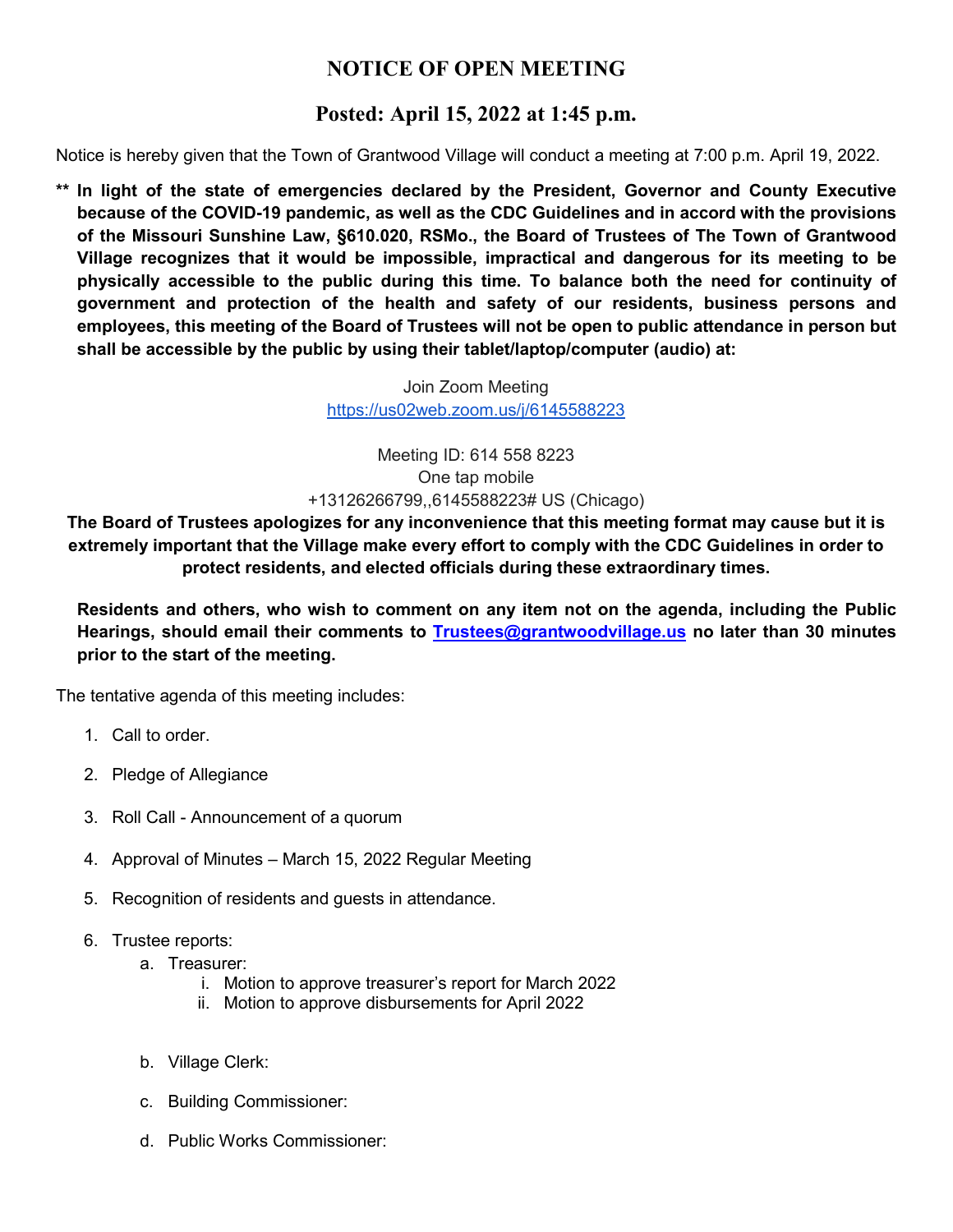## **NOTICE OF OPEN MEETING**

## **Posted: April 15, 2022 at 1:45 p.m.**

Notice is hereby given that the Town of Grantwood Village will conduct a meeting at 7:00 p.m. April 19, 2022.

**\*\* In light of the state of emergencies declared by the President, Governor and County Executive because of the COVID-19 pandemic, as well as the CDC Guidelines and in accord with the provisions of the Missouri Sunshine Law, §610.020, RSMo., the Board of Trustees of The Town of Grantwood Village recognizes that it would be impossible, impractical and dangerous for its meeting to be physically accessible to the public during this time. To balance both the need for continuity of government and protection of the health and safety of our residents, business persons and employees, this meeting of the Board of Trustees will not be open to public attendance in person but shall be accessible by the public by using their tablet/laptop/computer (audio) at:**

> Join Zoom Meeting <https://us02web.zoom.us/j/6145588223>

Meeting ID: 614 558 8223 One tap mobile +13126266799,,6145588223# US (Chicago)

**The Board of Trustees apologizes for any inconvenience that this meeting format may cause but it is extremely important that the Village make every effort to comply with the CDC Guidelines in order to protect residents, and elected officials during these extraordinary times.**

**Residents and others, who wish to comment on any item not on the agenda, including the Public Hearings, should email their comments to [Trustees@grantwoodvillage.us](mailto:Trustees@grantwoodvillage.us) no later than 30 minutes prior to the start of the meeting.** 

The tentative agenda of this meeting includes:

- 1. Call to order.
- 2. Pledge of Allegiance
- 3. Roll Call Announcement of a quorum
- 4. Approval of Minutes March 15, 2022 Regular Meeting
- 5. Recognition of residents and guests in attendance.
- 6. Trustee reports:
	- a. Treasurer:
		- i. Motion to approve treasurer's report for March 2022
		- ii. Motion to approve disbursements for April 2022
	- b. Village Clerk:
	- c. Building Commissioner:
	- d. Public Works Commissioner: